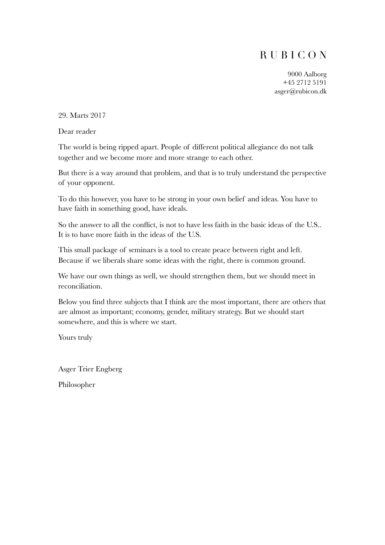# R U B I C O N

9000 Aalborg +45 2712 5191 asger@rubicon.dk

29. Marts 2017

Dear reader

The world is being ripped apart. People of different political allegiance do not talk together and we become more and more strange to each other.

But there is a way around that problem, and that is to truly understand the perspective of your opponent.

To do this however, you have to be strong in your own belief and ideas. You have to have faith in something good, have ideals.

So the answer to all the conflict, is not to have less faith in the basic ideas of the U.S.. It is to have more faith in the ideas of the U.S.

This small package of seminars is a tool to create peace between right and left. Because if we liberals share some ideas with the right, there is common ground.

We have our own things as well, we should strengthen them, but we should meet in reconciliation.

Below you find three subjects that I think are the most important, there are others that are almost as important; economy, gender, military strategy. But we should start somewhere, and this is where we start.

Yours truly

Asger Trier Engberg Philosopher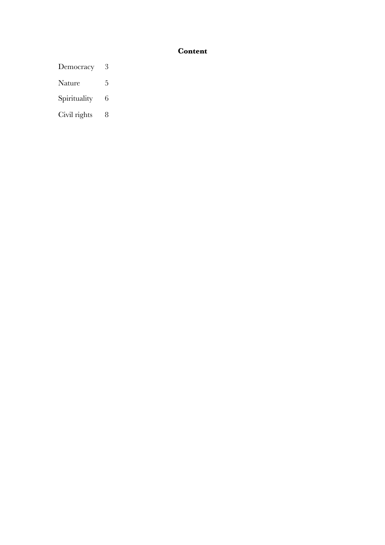# **Content**

- Democracy 3
- Nature 5
- Spirituality 6
- Civil rights 8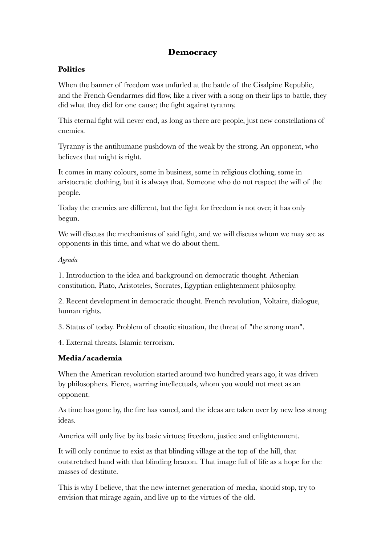# **Democracy**

## **Politics**

When the banner of freedom was unfurled at the battle of the Cisalpine Republic, and the French Gendarmes did flow, like a river with a song on their lips to battle, they did what they did for one cause; the fight against tyranny.

This eternal fight will never end, as long as there are people, just new constellations of enemies.

Tyranny is the antihumane pushdown of the weak by the strong. An opponent, who believes that might is right.

It comes in many colours, some in business, some in religious clothing, some in aristocratic clothing, but it is always that. Someone who do not respect the will of the people.

Today the enemies are different, but the fight for freedom is not over, it has only begun.

We will discuss the mechanisms of said fight, and we will discuss whom we may see as opponents in this time, and what we do about them.

## *Agenda*

1. Introduction to the idea and background on democratic thought. Athenian constitution, Plato, Aristoteles, Socrates, Egyptian enlightenment philosophy.

2. Recent development in democratic thought. French revolution, Voltaire, dialogue, human rights.

3. Status of today. Problem of chaotic situation, the threat of "the strong man".

4. External threats. Islamic terrorism.

## **Media/academia**

When the American revolution started around two hundred years ago, it was driven by philosophers. Fierce, warring intellectuals, whom you would not meet as an opponent.

As time has gone by, the fire has vaned, and the ideas are taken over by new less strong ideas.

America will only live by its basic virtues; freedom, justice and enlightenment.

It will only continue to exist as that blinding village at the top of the hill, that outstretched hand with that blinding beacon. That image full of life as a hope for the masses of destitute.

This is why I believe, that the new internet generation of media, should stop, try to envision that mirage again, and live up to the virtues of the old.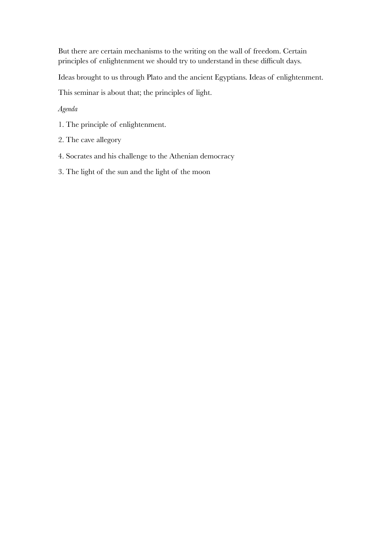But there are certain mechanisms to the writing on the wall of freedom. Certain principles of enlightenment we should try to understand in these difficult days.

Ideas brought to us through Plato and the ancient Egyptians. Ideas of enlightenment.

This seminar is about that; the principles of light.

*Agenda* 

- 1. The principle of enlightenment.
- 2. The cave allegory
- 4. Socrates and his challenge to the Athenian democracy
- 3. The light of the sun and the light of the moon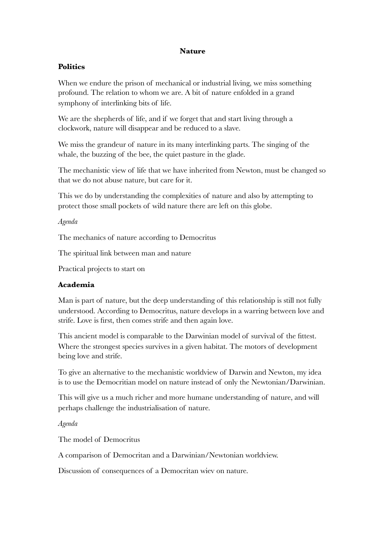## **Nature**

## **Politics**

When we endure the prison of mechanical or industrial living, we miss something profound. The relation to whom we are. A bit of nature enfolded in a grand symphony of interlinking bits of life.

We are the shepherds of life, and if we forget that and start living through a clockwork, nature will disappear and be reduced to a slave.

We miss the grandeur of nature in its many interlinking parts. The singing of the whale, the buzzing of the bee, the quiet pasture in the glade.

The mechanistic view of life that we have inherited from Newton, must be changed so that we do not abuse nature, but care for it.

This we do by understanding the complexities of nature and also by attempting to protect those small pockets of wild nature there are left on this globe.

*Agenda* 

The mechanics of nature according to Democritus

The spiritual link between man and nature

Practical projects to start on

## **Academia**

Man is part of nature, but the deep understanding of this relationship is still not fully understood. According to Democritus, nature develops in a warring between love and strife. Love is first, then comes strife and then again love.

This ancient model is comparable to the Darwinian model of survival of the fittest. Where the strongest species survives in a given habitat. The motors of development being love and strife.

To give an alternative to the mechanistic worldview of Darwin and Newton, my idea is to use the Democritian model on nature instead of only the Newtonian/Darwinian.

This will give us a much richer and more humane understanding of nature, and will perhaps challenge the industrialisation of nature.

*Agenda* 

The model of Democritus

A comparison of Democritan and a Darwinian/Newtonian worldview.

Discussion of consequences of a Democritan wiev on nature.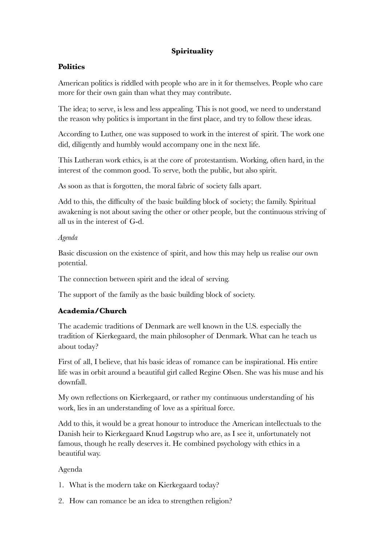# **Spirituality**

## **Politics**

American politics is riddled with people who are in it for themselves. People who care more for their own gain than what they may contribute.

The idea; to serve, is less and less appealing. This is not good, we need to understand the reason why politics is important in the first place, and try to follow these ideas.

According to Luther, one was supposed to work in the interest of spirit. The work one did, diligently and humbly would accompany one in the next life.

This Lutheran work ethics, is at the core of protestantism. Working, often hard, in the interest of the common good. To serve, both the public, but also spirit.

As soon as that is forgotten, the moral fabric of society falls apart.

Add to this, the difficulty of the basic building block of society; the family. Spiritual awakening is not about saving the other or other people, but the continuous striving of all us in the interest of G-d.

## *Agenda*

Basic discussion on the existence of spirit, and how this may help us realise our own potential.

The connection between spirit and the ideal of serving.

The support of the family as the basic building block of society.

## **Academia/Church**

The academic traditions of Denmark are well known in the U.S. especially the tradition of Kierkegaard, the main philosopher of Denmark. What can he teach us about today?

First of all, I believe, that his basic ideas of romance can be inspirational. His entire life was in orbit around a beautiful girl called Regine Olsen. She was his muse and his downfall.

My own reflections on Kierkegaard, or rather my continuous understanding of his work, lies in an understanding of love as a spiritual force.

Add to this, it would be a great honour to introduce the American intellectuals to the Danish heir to Kierkegaard Knud Løgstrup who are, as I see it, unfortunately not famous, though he really deserves it. He combined psychology with ethics in a beautiful way.

## Agenda

- 1. What is the modern take on Kierkegaard today?
- 2. How can romance be an idea to strengthen religion?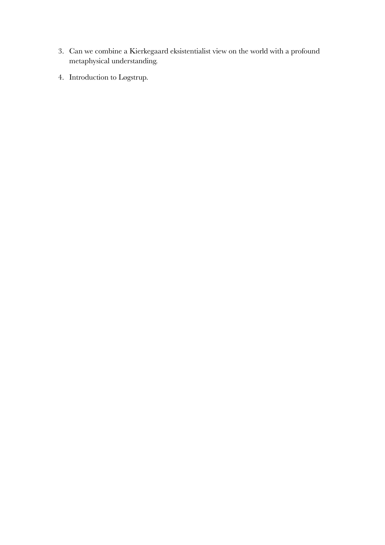- 3. Can we combine a Kierkegaard eksistentialist view on the world with a profound metaphysical understanding.
- 4. Introduction to Løgstrup.